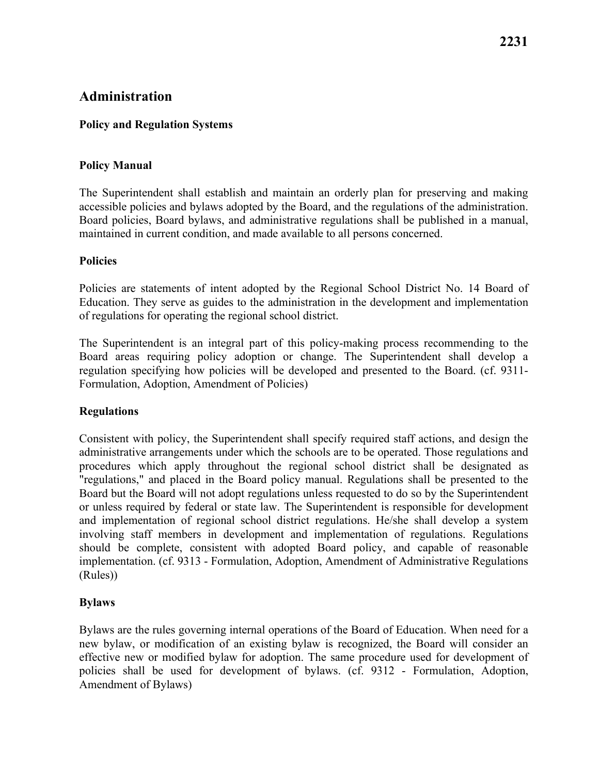# **Administration**

#### **Policy and Regulation Systems**

#### **Policy Manual**

The Superintendent shall establish and maintain an orderly plan for preserving and making accessible policies and bylaws adopted by the Board, and the regulations of the administration. Board policies, Board bylaws, and administrative regulations shall be published in a manual, maintained in current condition, and made available to all persons concerned.

#### **Policies**

Policies are statements of intent adopted by the Regional School District No. 14 Board of Education. They serve as guides to the administration in the development and implementation of regulations for operating the regional school district.

 Board areas requiring policy adoption or change. The Superintendent shall develop a Formulation, Adoption, Amendment of Policies) The Superintendent is an integral part of this policy-making process recommending to the regulation specifying how policies will be developed and presented to the Board. (cf. 9311-

#### **Regulations**

Consistent with policy, the Superintendent shall specify required staff actions, and design the administrative arrangements under which the schools are to be operated. Those regulations and procedures which apply throughout the regional school district shall be designated as "regulations," and placed in the Board policy manual. Regulations shall be presented to the Board but the Board will not adopt regulations unless requested to do so by the Superintendent or unless required by federal or state law. The Superintendent is responsible for development and implementation of regional school district regulations. He/she shall develop a system involving staff members in development and implementation of regulations. Regulations should be complete, consistent with adopted Board policy, and capable of reasonable implementation. (cf. 9313 - Formulation, Adoption, Amendment of Administrative Regulations (Rules))

## **Bylaws**

 Bylaws are the rules governing internal operations of the Board of Education. When need for a new bylaw, or modification of an existing bylaw is recognized, the Board will consider an effective new or modified bylaw for adoption. The same procedure used for development of policies shall be used for development of bylaws. (cf. 9312 - Formulation, Adoption, Amendment of Bylaws)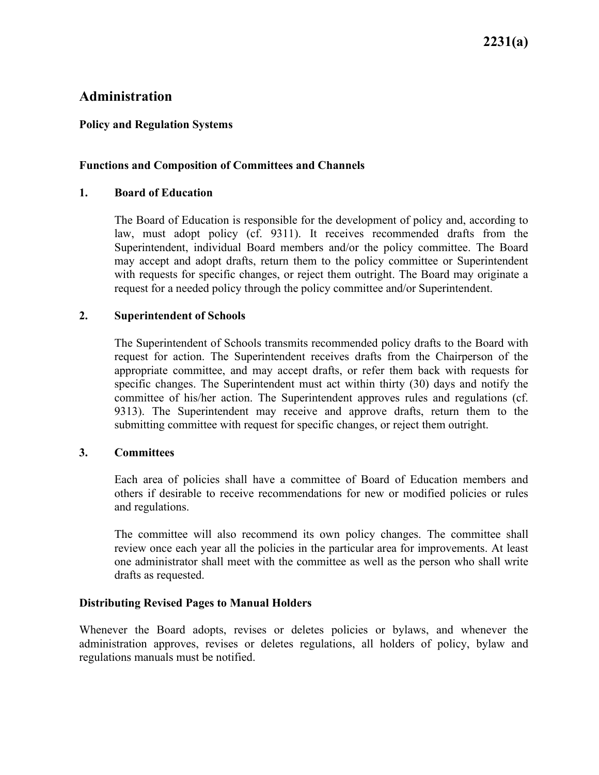# **Administration**

#### **Policy and Regulation Systems**

#### **Functions and Composition of Committees and Channels**

#### **1. Board of Education**

 law, must adopt policy (cf. 9311). It receives recommended drafts from the The Board of Education is responsible for the development of policy and, according to Superintendent, individual Board members and/or the policy committee. The Board may accept and adopt drafts, return them to the policy committee or Superintendent with requests for specific changes, or reject them outright. The Board may originate a request for a needed policy through the policy committee and/or Superintendent.

#### **2. Superintendent of Schools**

The Superintendent of Schools transmits recommended policy drafts to the Board with request for action. The Superintendent receives drafts from the Chairperson of the appropriate committee, and may accept drafts, or refer them back with requests for specific changes. The Superintendent must act within thirty (30) days and notify the committee of his/her action. The Superintendent approves rules and regulations (cf. 9313). The Superintendent may receive and approve drafts, return them to the submitting committee with request for specific changes, or reject them outright.

#### **3. Committees**

Each area of policies shall have a committee of Board of Education members and others if desirable to receive recommendations for new or modified policies or rules and regulations.

 The committee will also recommend its own policy changes. The committee shall review once each year all the policies in the particular area for improvements. At least one administrator shall meet with the committee as well as the person who shall write drafts as requested.

#### **Distributing Revised Pages to Manual Holders**

Whenever the Board adopts, revises or deletes policies or bylaws, and whenever the administration approves, revises or deletes regulations, all holders of policy, bylaw and regulations manuals must be notified.